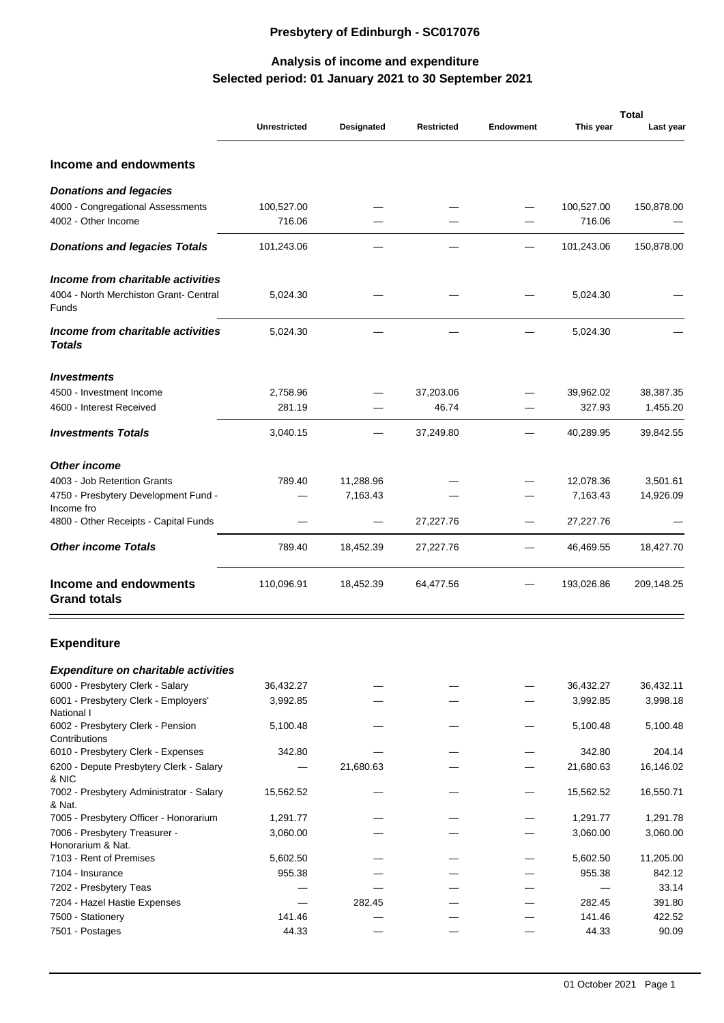## **Presbytery of Edinburgh - SC017076**

## **Selected period: 01 January 2021 to 30 September 2021 Analysis of income and expenditure**

|                                                     |                     |            |                   |                  |            | <b>Total</b> |
|-----------------------------------------------------|---------------------|------------|-------------------|------------------|------------|--------------|
|                                                     | <b>Unrestricted</b> | Designated | <b>Restricted</b> | <b>Endowment</b> | This year  | Last year    |
| Income and endowments                               |                     |            |                   |                  |            |              |
| Donations and legacies                              |                     |            |                   |                  |            |              |
| 4000 - Congregational Assessments                   | 100,527.00          |            |                   |                  | 100,527.00 | 150,878.00   |
| 4002 - Other Income                                 | 716.06              |            |                   |                  | 716.06     |              |
| Donations and legacies Totals                       | 101,243.06          |            |                   |                  | 101,243.06 | 150,878.00   |
| Income from charitable activities                   |                     |            |                   |                  |            |              |
| 4004 - North Merchiston Grant- Central<br>Funds     | 5,024.30            |            |                   |                  | 5,024.30   |              |
| Income from charitable activities<br>Totals         | 5,024.30            |            |                   |                  | 5,024.30   |              |
| <b>Investments</b>                                  |                     |            |                   |                  |            |              |
| 4500 - Investment Income                            | 2,758.96            |            | 37,203.06         |                  | 39,962.02  | 38,387.35    |
| 4600 - Interest Received                            | 281.19              |            | 46.74             |                  | 327.93     | 1,455.20     |
| <b>Investments Totals</b>                           | 3,040.15            |            | 37,249.80         |                  | 40,289.95  | 39,842.55    |
| Other income                                        |                     |            |                   |                  |            |              |
| 4003 - Job Retention Grants                         | 789.40              | 11,288.96  |                   |                  | 12,078.36  | 3,501.61     |
| 4750 - Presbytery Development Fund -                |                     | 7,163.43   |                   |                  | 7,163.43   | 14,926.09    |
| Income fro<br>4800 - Other Receipts - Capital Funds |                     |            | 27,227.76         |                  | 27,227.76  |              |
|                                                     |                     |            |                   |                  |            |              |
| Other income Totals                                 | 789.40              | 18,452.39  | 27,227.76         |                  | 46,469.55  | 18,427.70    |
| Income and endowments<br><b>Grand totals</b>        | 110,096.91          | 18,452.39  | 64,477.56         |                  | 193,026.86 | 209,148.25   |
| <b>Expenditure</b>                                  |                     |            |                   |                  |            |              |
| Expenditure on charitable activities                |                     |            |                   |                  |            |              |
| 6000 - Presbytery Clerk - Salary                    | 36,432.27           |            |                   |                  | 36,432.27  | 36,432.11    |
| 6001 - Presbytery Clerk - Employers'                | 3,992.85            |            |                   |                  | 3,992.85   | 3,998.18     |
| National I<br>6002 - Presbytery Clerk - Pension     | 5,100.48            |            |                   |                  | 5,100.48   | 5,100.48     |
| Contributions                                       |                     |            |                   |                  |            |              |
| 6010 - Presbytery Clerk - Expenses                  | 342.80              |            |                   |                  | 342.80     | 204.14       |
| 6200 - Depute Presbytery Clerk - Salary<br>& NIC    |                     | 21,680.63  |                   |                  | 21,680.63  | 16,146.02    |
| 7002 - Presbytery Administrator - Salary<br>& Nat.  | 15,562.52           |            |                   |                  | 15,562.52  | 16,550.71    |
| 7005 - Presbytery Officer - Honorarium              | 1,291.77            |            |                   |                  | 1,291.77   | 1,291.78     |
| 7006 - Presbytery Treasurer -<br>Honorarium & Nat.  | 3,060.00            |            |                   |                  | 3,060.00   | 3,060.00     |
| 7103 - Rent of Premises                             | 5,602.50            |            |                   |                  | 5,602.50   | 11,205.00    |
| 7104 - Insurance                                    | 955.38              |            |                   |                  | 955.38     | 842.12       |
| 7202 - Presbytery Teas                              |                     |            |                   |                  |            | 33.14        |
| 7204 - Hazel Hastie Expenses                        |                     | 282.45     |                   |                  | 282.45     | 391.80       |
| 7500 - Stationery                                   | 141.46              |            |                   |                  | 141.46     | 422.52       |
| 7501 - Postages                                     | 44.33               |            |                   |                  | 44.33      | 90.09        |